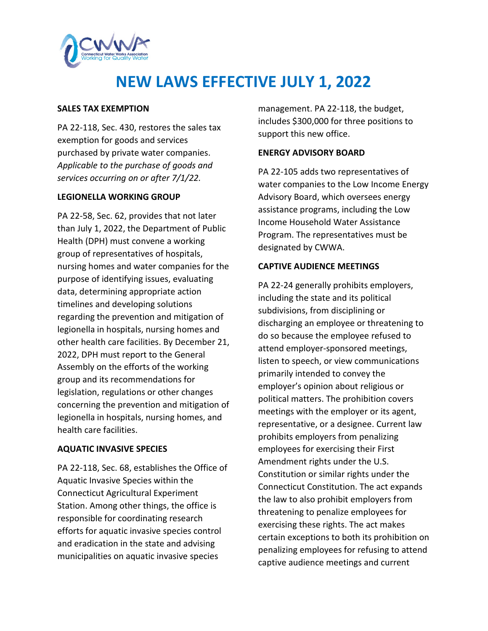

# **NEW LAWS EFFECTIVE JULY 1, 2022**

### **SALES TAX EXEMPTION**

PA 22-118, Sec. 430, restores the sales tax exemption for goods and services purchased by private water companies. *Applicable to the purchase of goods and services occurring on or after 7/1/22.*

## **LEGIONELLA WORKING GROUP**

PA 22-58, Sec. 62, provides that not later than July 1, 2022, the Department of Public Health (DPH) must convene a working group of representatives of hospitals, nursing homes and water companies for the purpose of identifying issues, evaluating data, determining appropriate action timelines and developing solutions regarding the prevention and mitigation of legionella in hospitals, nursing homes and other health care facilities. By December 21, 2022, DPH must report to the General Assembly on the efforts of the working group and its recommendations for legislation, regulations or other changes concerning the prevention and mitigation of legionella in hospitals, nursing homes, and health care facilities.

### **AQUATIC INVASIVE SPECIES**

PA 22-118, Sec. 68, establishes the Office of Aquatic Invasive Species within the Connecticut Agricultural Experiment Station. Among other things, the office is responsible for coordinating research efforts for aquatic invasive species control and eradication in the state and advising municipalities on aquatic invasive species

management. PA 22-118, the budget, includes \$300,000 for three positions to support this new office.

## **ENERGY ADVISORY BOARD**

PA 22-105 adds two representatives of water companies to the Low Income Energy Advisory Board, which oversees energy assistance programs, including the Low Income Household Water Assistance Program. The representatives must be designated by CWWA.

## **CAPTIVE AUDIENCE MEETINGS**

PA 22-24 generally prohibits employers, including the state and its political subdivisions, from disciplining or discharging an employee or threatening to do so because the employee refused to attend employer-sponsored meetings, listen to speech, or view communications primarily intended to convey the employer's opinion about religious or political matters. The prohibition covers meetings with the employer or its agent, representative, or a designee. Current law prohibits employers from penalizing employees for exercising their First Amendment rights under the U.S. Constitution or similar rights under the Connecticut Constitution. The act expands the law to also prohibit employers from threatening to penalize employees for exercising these rights. The act makes certain exceptions to both its prohibition on penalizing employees for refusing to attend captive audience meetings and current